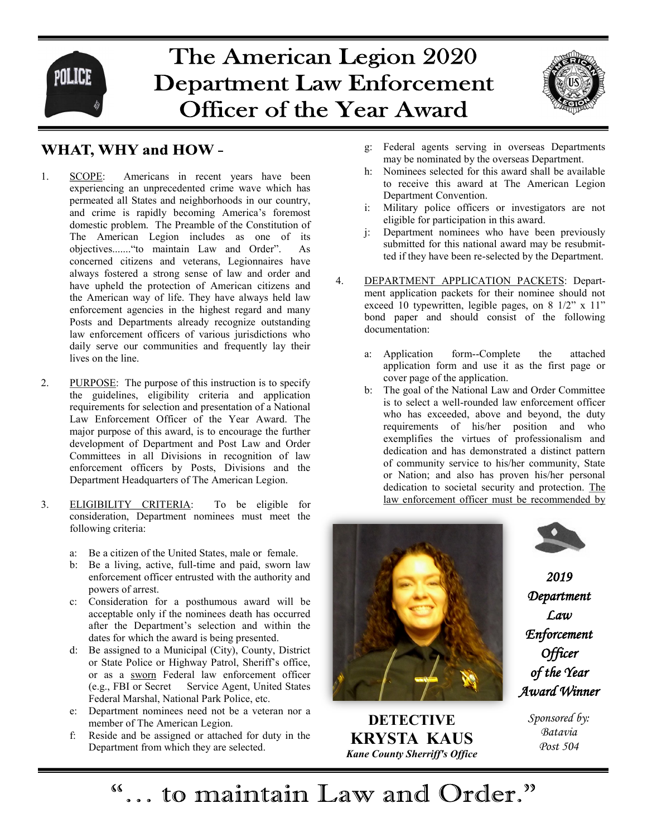

## The American Legion 2020 **Department Law Enforcement Officer of the Year Award**



## **WHAT, WHY and HOW-**

- 1. SCOPE: Americans in recent years have been experiencing an unprecedented crime wave which has permeated all States and neighborhoods in our country, and crime is rapidly becoming America's foremost domestic problem. The Preamble of the Constitution of The American Legion includes as one of its objectives......."to maintain Law and Order". As concerned citizens and veterans, Legionnaires have always fostered a strong sense of law and order and have upheld the protection of American citizens and the American way of life. They have always held law enforcement agencies in the highest regard and many Posts and Departments already recognize outstanding law enforcement officers of various jurisdictions who daily serve our communities and frequently lay their lives on the line.
- 2. PURPOSE: The purpose of this instruction is to specify the guidelines, eligibility criteria and application requirements for selection and presentation of a National Law Enforcement Officer of the Year Award. The major purpose of this award, is to encourage the further development of Department and Post Law and Order Committees in all Divisions in recognition of law enforcement officers by Posts, Divisions and the Department Headquarters of The American Legion.
- 3. ELIGIBILITY CRITERIA: To be eligible for consideration, Department nominees must meet the following criteria:
	- a: Be a citizen of the United States, male or female.
	- b: Be a living, active, full-time and paid, sworn law enforcement officer entrusted with the authority and powers of arrest.
	- c: Consideration for a posthumous award will be acceptable only if the nominees death has occurred after the Department's selection and within the dates for which the award is being presented.
	- d: Be assigned to a Municipal (City), County, District or State Police or Highway Patrol, Sheriff's office, or as a sworn Federal law enforcement officer (e.g., FBI or Secret Service Agent, United States Federal Marshal, National Park Police, etc.
	- e: Department nominees need not be a veteran nor a member of The American Legion.
	- f: Reside and be assigned or attached for duty in the Department from which they are selected.
- g: Federal agents serving in overseas Departments may be nominated by the overseas Department.
- h: Nominees selected for this award shall be available to receive this award at The American Legion Department Convention.
- i: Military police officers or investigators are not eligible for participation in this award.
- j: Department nominees who have been previously submitted for this national award may be resubmitted if they have been re-selected by the Department.
- 4. DEPARTMENT APPLICATION PACKETS: Department application packets for their nominee should not exceed 10 typewritten, legible pages, on 8 1/2" x 11" bond paper and should consist of the following documentation:
	- a: Application form--Complete the attached application form and use it as the first page or cover page of the application.
	- b: The goal of the National Law and Order Committee is to select a well-rounded law enforcement officer who has exceeded, above and beyond, the duty requirements of his/her position and who exemplifies the virtues of professionalism and dedication and has demonstrated a distinct pattern of community service to his/her community, State or Nation; and also has proven his/her personal dedication to societal security and protection. The law enforcement officer must be recommended by



**DETECTIVE KRYSTA KAUS** *Kane County Sherriff's Office*



*2019 Department Law Enforcement Officer of the Year Award Winner* 

> *Sponsored by: Batavia Post 504*

"... to maintain Law and Order."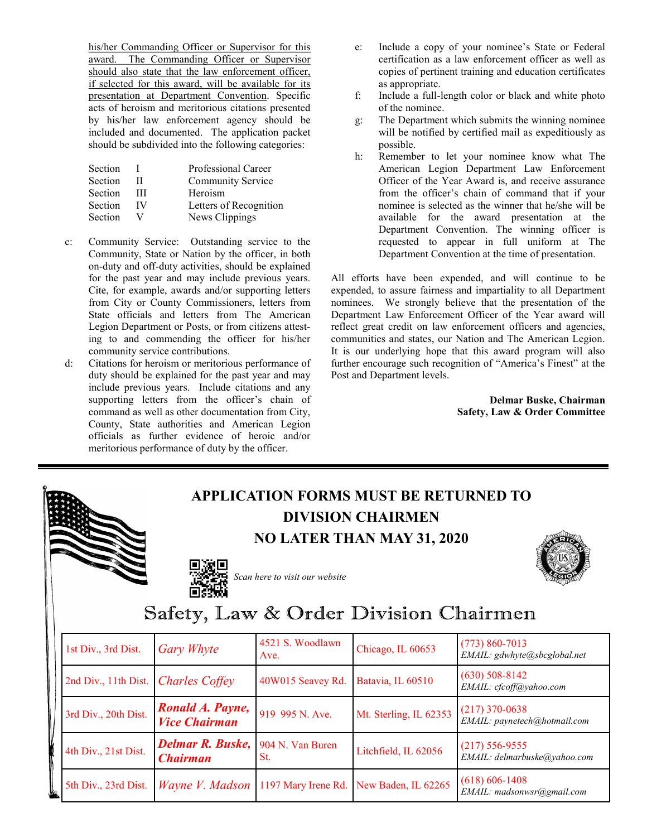his/her Commanding Officer or Supervisor for this award. The Commanding Officer or Supervisor should also state that the law enforcement officer, if selected for this award, will be available for its presentation at Department Convention. Specific acts of heroism and meritorious citations presented by his/her law enforcement agency should be included and documented. The application packet should be subdivided into the following categories:

| Section |    | <b>Professional Career</b> |
|---------|----|----------------------------|
| Section | Н  | <b>Community Service</b>   |
| Section | Ш  | Heroism                    |
| Section | IV | Letters of Recognition     |
| Section | V  | News Clippings             |
|         |    |                            |

- c: Community Service: Outstanding service to the Community, State or Nation by the officer, in both on-duty and off-duty activities, should be explained for the past year and may include previous years. Cite, for example, awards and/or supporting letters from City or County Commissioners, letters from State officials and letters from The American Legion Department or Posts, or from citizens attesting to and commending the officer for his/her community service contributions.
- d: Citations for heroism or meritorious performance of duty should be explained for the past year and may include previous years. Include citations and any supporting letters from the officer's chain of command as well as other documentation from City, County, State authorities and American Legion officials as further evidence of heroic and/or meritorious performance of duty by the officer.
- e: Include a copy of your nominee's State or Federal certification as a law enforcement officer as well as copies of pertinent training and education certificates as appropriate.
- f: Include a full-length color or black and white photo of the nominee.
- g: The Department which submits the winning nominee will be notified by certified mail as expeditiously as possible.
- h: Remember to let your nominee know what The American Legion Department Law Enforcement Officer of the Year Award is, and receive assurance from the officer's chain of command that if your nominee is selected as the winner that he/she will be available for the award presentation at the Department Convention. The winning officer is requested to appear in full uniform at The Department Convention at the time of presentation.

All efforts have been expended, and will continue to be expended, to assure fairness and impartiality to all Department nominees. We strongly believe that the presentation of the Department Law Enforcement Officer of the Year award will reflect great credit on law enforcement officers and agencies, communities and states, our Nation and The American Legion. It is our underlying hope that this award program will also further encourage such recognition of "America's Finest" at the Post and Department levels.

> **Delmar Buske, Chairman Safety, Law & Order Committee**

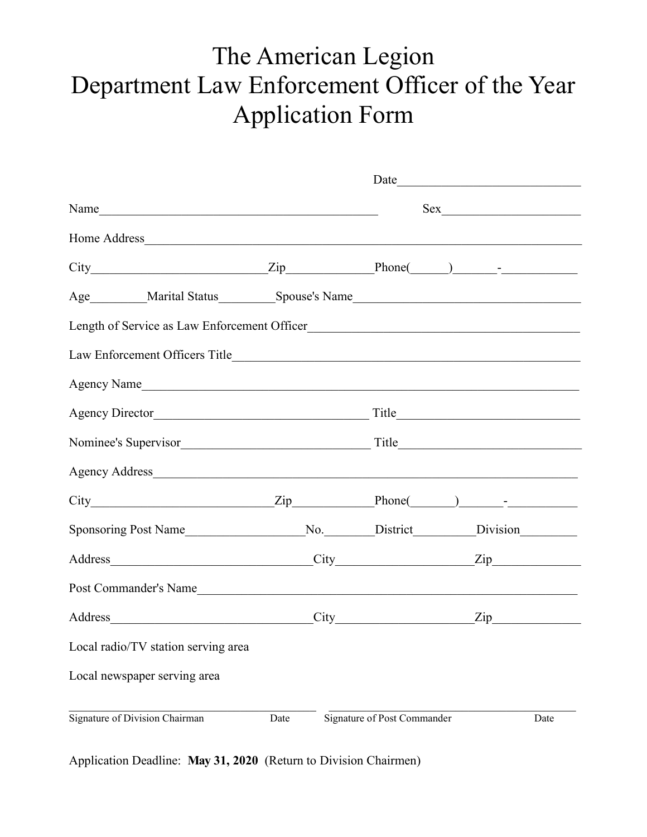## The American Legion Department Law Enforcement Officer of the Year Application Form

| Name                                                                                    |      |                             |      |
|-----------------------------------------------------------------------------------------|------|-----------------------------|------|
|                                                                                         |      |                             |      |
| $City$ $Zip$ $Phone$ $)$ $-I$                                                           |      |                             |      |
|                                                                                         |      |                             |      |
| Length of Service as Law Enforcement Officer                                            |      |                             |      |
|                                                                                         |      |                             |      |
| Agency Name                                                                             |      |                             |      |
| Agency Director Title Title                                                             |      |                             |      |
|                                                                                         |      |                             |      |
| Agency Address                                                                          |      |                             |      |
| $City$ Phone( ) - Phone( ) - Phone                                                      |      |                             |      |
| Sponsoring Post Name____________________No.________District__________Division__________ |      |                             |      |
| Address City City Zip                                                                   |      |                             |      |
| Post Commander's Name                                                                   |      |                             |      |
| Address City Zip                                                                        |      |                             |      |
| Local radio/TV station serving area                                                     |      |                             |      |
| Local newspaper serving area                                                            |      |                             |      |
| Signature of Division Chairman                                                          | Date | Signature of Post Commander | Date |

Application Deadline: **May 31, 2020** (Return to Division Chairmen)